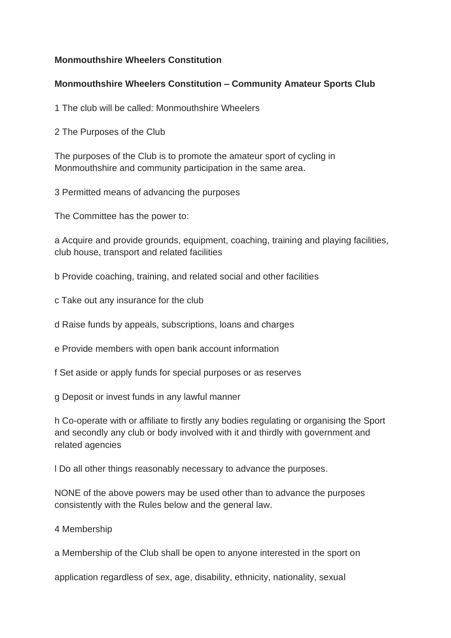### **Monmouthshire Wheelers Constitution**

#### **Monmouthshire Wheelers Constitution – Community Amateur Sports Club**

1 The club will be called: Monmouthshire Wheelers

2 The Purposes of the Club

The purposes of the Club is to promote the amateur sport of cycling in Monmouthshire and community participation in the same area.

3 Permitted means of advancing the purposes

The Committee has the power to:

a Acquire and provide grounds, equipment, coaching, training and playing facilities, club house, transport and related facilities

b Provide coaching, training, and related social and other facilities

c Take out any insurance for the club

d Raise funds by appeals, subscriptions, loans and charges

e Provide members with open bank account information

f Set aside or apply funds for special purposes or as reserves

g Deposit or invest funds in any lawful manner

h Co-operate with or affiliate to firstly any bodies regulating or organising the Sport and secondly any club or body involved with it and thirdly with government and related agencies

l Do all other things reasonably necessary to advance the purposes.

NONE of the above powers may be used other than to advance the purposes consistently with the Rules below and the general law.

4 Membership

a Membership of the Club shall be open to anyone interested in the sport on

application regardless of sex, age, disability, ethnicity, nationality, sexual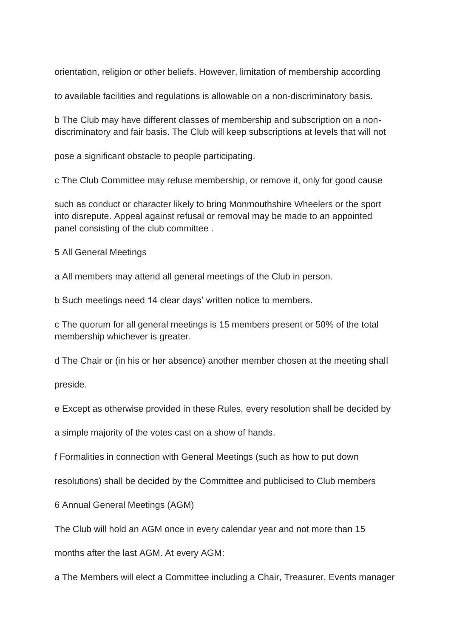orientation, religion or other beliefs. However, limitation of membership according

to available facilities and regulations is allowable on a non-discriminatory basis.

b The Club may have different classes of membership and subscription on a nondiscriminatory and fair basis. The Club will keep subscriptions at levels that will not

pose a significant obstacle to people participating.

c The Club Committee may refuse membership, or remove it, only for good cause

such as conduct or character likely to bring Monmouthshire Wheelers or the sport into disrepute. Appeal against refusal or removal may be made to an appointed panel consisting of the club committee .

5 All General Meetings

a All members may attend all general meetings of the Club in person.

b Such meetings need 14 clear days' written notice to members.

c The quorum for all general meetings is 15 members present or 50% of the total membership whichever is greater.

d The Chair or (in his or her absence) another member chosen at the meeting shall

preside.

e Except as otherwise provided in these Rules, every resolution shall be decided by

a simple majority of the votes cast on a show of hands.

f Formalities in connection with General Meetings (such as how to put down

resolutions) shall be decided by the Committee and publicised to Club members

6 Annual General Meetings (AGM)

The Club will hold an AGM once in every calendar year and not more than 15

months after the last AGM. At every AGM:

a The Members will elect a Committee including a Chair, Treasurer, Events manager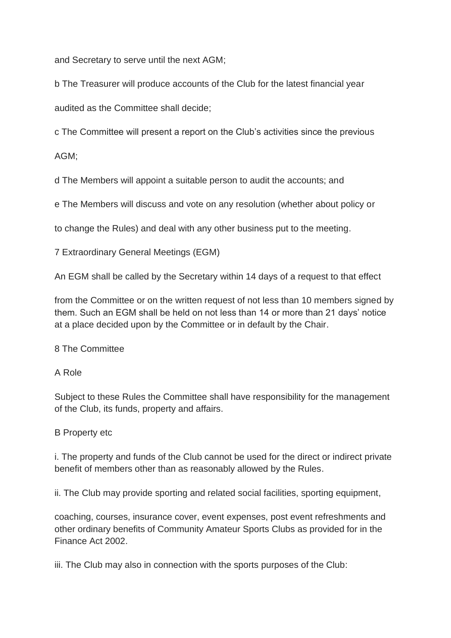and Secretary to serve until the next AGM;

b The Treasurer will produce accounts of the Club for the latest financial year

audited as the Committee shall decide;

c The Committee will present a report on the Club's activities since the previous

AGM;

d The Members will appoint a suitable person to audit the accounts; and

e The Members will discuss and vote on any resolution (whether about policy or

to change the Rules) and deal with any other business put to the meeting.

7 Extraordinary General Meetings (EGM)

An EGM shall be called by the Secretary within 14 days of a request to that effect

from the Committee or on the written request of not less than 10 members signed by them. Such an EGM shall be held on not less than 14 or more than 21 days' notice at a place decided upon by the Committee or in default by the Chair.

8 The Committee

A Role

Subject to these Rules the Committee shall have responsibility for the management of the Club, its funds, property and affairs.

# B Property etc

i. The property and funds of the Club cannot be used for the direct or indirect private benefit of members other than as reasonably allowed by the Rules.

ii. The Club may provide sporting and related social facilities, sporting equipment,

coaching, courses, insurance cover, event expenses, post event refreshments and other ordinary benefits of Community Amateur Sports Clubs as provided for in the Finance Act 2002.

iii. The Club may also in connection with the sports purposes of the Club: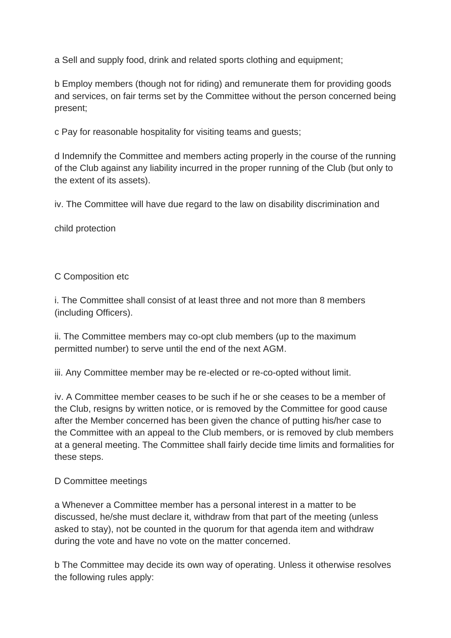a Sell and supply food, drink and related sports clothing and equipment;

b Employ members (though not for riding) and remunerate them for providing goods and services, on fair terms set by the Committee without the person concerned being present;

c Pay for reasonable hospitality for visiting teams and guests;

d Indemnify the Committee and members acting properly in the course of the running of the Club against any liability incurred in the proper running of the Club (but only to the extent of its assets).

iv. The Committee will have due regard to the law on disability discrimination and

child protection

# C Composition etc

i. The Committee shall consist of at least three and not more than 8 members (including Officers).

ii. The Committee members may co-opt club members (up to the maximum permitted number) to serve until the end of the next AGM.

iii. Any Committee member may be re-elected or re-co-opted without limit.

iv. A Committee member ceases to be such if he or she ceases to be a member of the Club, resigns by written notice, or is removed by the Committee for good cause after the Member concerned has been given the chance of putting his/her case to the Committee with an appeal to the Club members, or is removed by club members at a general meeting. The Committee shall fairly decide time limits and formalities for these steps.

# D Committee meetings

a Whenever a Committee member has a personal interest in a matter to be discussed, he/she must declare it, withdraw from that part of the meeting (unless asked to stay), not be counted in the quorum for that agenda item and withdraw during the vote and have no vote on the matter concerned.

b The Committee may decide its own way of operating. Unless it otherwise resolves the following rules apply: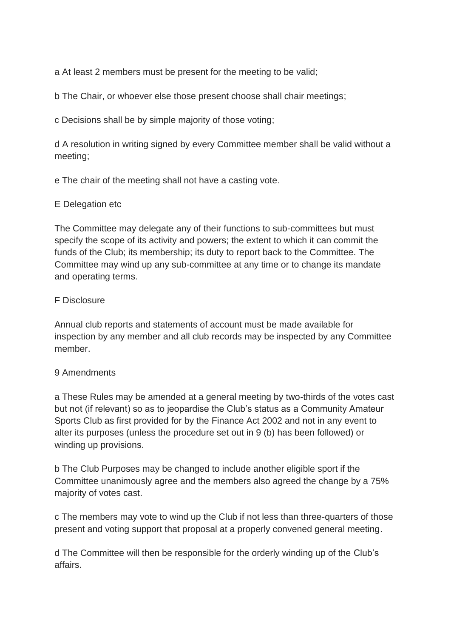a At least 2 members must be present for the meeting to be valid;

b The Chair, or whoever else those present choose shall chair meetings;

c Decisions shall be by simple majority of those voting;

d A resolution in writing signed by every Committee member shall be valid without a meeting;

e The chair of the meeting shall not have a casting vote.

### E Delegation etc

The Committee may delegate any of their functions to sub-committees but must specify the scope of its activity and powers; the extent to which it can commit the funds of the Club; its membership; its duty to report back to the Committee. The Committee may wind up any sub-committee at any time or to change its mandate and operating terms.

### F Disclosure

Annual club reports and statements of account must be made available for inspection by any member and all club records may be inspected by any Committee member.

#### 9 Amendments

a These Rules may be amended at a general meeting by two-thirds of the votes cast but not (if relevant) so as to jeopardise the Club's status as a Community Amateur Sports Club as first provided for by the Finance Act 2002 and not in any event to alter its purposes (unless the procedure set out in 9 (b) has been followed) or winding up provisions.

b The Club Purposes may be changed to include another eligible sport if the Committee unanimously agree and the members also agreed the change by a 75% majority of votes cast.

c The members may vote to wind up the Club if not less than three-quarters of those present and voting support that proposal at a properly convened general meeting.

d The Committee will then be responsible for the orderly winding up of the Club's affairs.